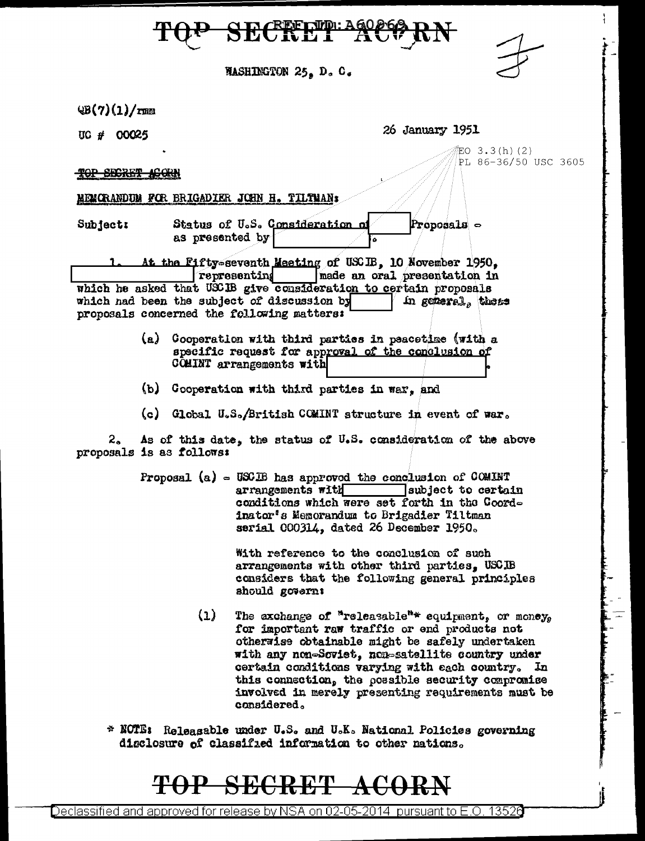**MASHINGTON 25. D. C.** 

 $\mathcal{Q}(\mathcal{V})(1)/\mathbf{r}$ mm

UG # 00025

26 January 1951

EO 3.3(h)(2) PL 86-36/50 USC 3605

TOP SECRET ACORN

MEMORANDUM FOR BRIGADIER JOHN H. TILTMAN:

Subject:

Status of U.S. Consideration o Proposals  $\circ$ as presented by

At the Fifty-seventh Meeting of USCIB. 10 November 1950. representing [made an oral presentation in which he asked that USCIB give consideration to certain proposals which nad been the subject of discussion by In general, these proposals concerned the following matters:

- (a) Cooperation with third parties in peacetime (with a specific request for approval of the conclusion of COMINT arrangements with
- (b) Cooperation with third parties in war, and
- (c) Global U.S./British COMINT structure in event of war.

As of this date, the status of U.S. consideration of the above  $2_{\sim}$ proposals is as follows:

> Proposal  $(a)$  = USCIB has approved the conclusion of COMINT arrangements with subject to certain conditions which were set forth in the Coordinator's Memorandum to Brigadier Tiltman serial 000314, dated 26 December 1950.

> > With reference to the conclusion of such arrangements with other third parties, USCIB considers that the following general principles should govern:

- $(1)$ The axchange of "releasable"\* equipment, or money. for important raw traffic or end products not otherwise obtainable might be safely undertaken with any non-Soviet, non-satellite country under certain conditions varying with each country. In this connection, the possible security compromise involved in merely presenting requirements must be considered.
- \* NOTE: Releasable under U.S. and U.K. National Policies governing disclosure of classified information to other mations.

# **SECRET**

Declassified and approved for release by NSA on 02-05-2014  $\,$  pursuant to E.O. 13526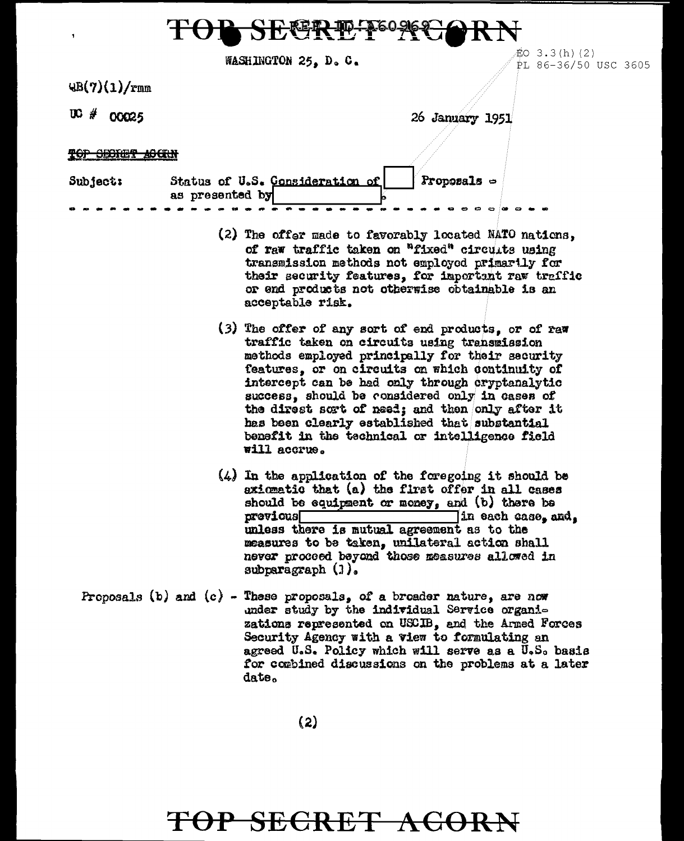| TOP SEGRET PORCORN |  |
|--------------------|--|

| WASHINGTON 25, D. C. |  |  |  |
|----------------------|--|--|--|
|----------------------|--|--|--|

 $UB(7)(1)/r$ mm

 $UC#00025$ 

26 January 1951

 $EO$  3.3(h)(2)

PL 86-36/50 USC 3605

<del>TOP SECIET ACCIN</del>

| <b>Subject:</b> | Status of U.S. Consideration of |  |  |  |  |  | $ $ Proposals $\in$ |  |  |
|-----------------|---------------------------------|--|--|--|--|--|---------------------|--|--|
|                 | as presented by                 |  |  |  |  |  |                     |  |  |
|                 |                                 |  |  |  |  |  |                     |  |  |

- (2) The offer made to favorably located NATO nations, of raw traffic taken on "fixed" circults using transmission methods not employed primarily for their security features, for important raw traffic or end products not otherwise obtainable is an acceptable risk.
- (3) The offer of any sort of end products, or of raw traffic taken on circuits using transmission methods employed principally for their security features, or on circuits on which continuity of intercept can be had only through cryptanalytic success, should be considered only in cases of the direct sort of need; and then only after it has been clearly established that substantial benefit in the technical or intelligence field will accrue.
- $(4)$  In the application of the foregoing it should be axiomatic that (a) the first offer in all cases should be equipment or money, and (b) there be previous  $\exists$ in each case, and, unless there is mutual agreement as to the measures to be taken, unilateral action shall never proceed beyond those measures allowed in subparagraph  $(1)$ .
- Proposals (b) and (c) These proposals, of a broader nature, are now under study by the individual Service organizations represented on USCIB. and the Armed Forces Security Agency with a view to formulating an agreed U.S. Policy which will serve as a U.S. basis for combined discussions on the problems at a later date.

 $(2)$ 

## TOP SECRET ACORN